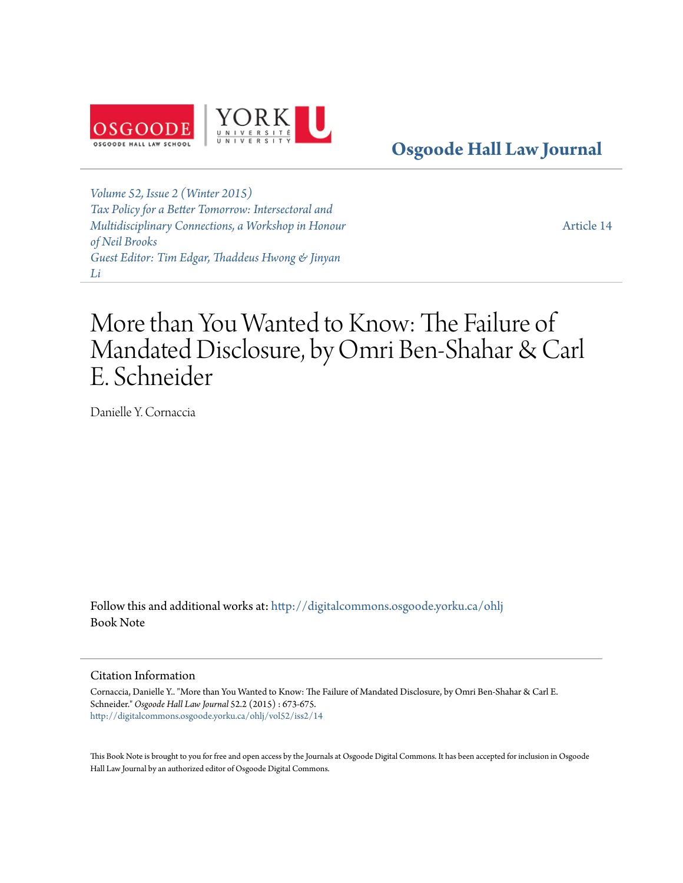

**[Osgoode Hall Law Journal](http://digitalcommons.osgoode.yorku.ca/ohlj?utm_source=digitalcommons.osgoode.yorku.ca%2Fohlj%2Fvol52%2Fiss2%2F14&utm_medium=PDF&utm_campaign=PDFCoverPages)**

*[Volume 52, Issue 2 \(Winter 2015\)](http://digitalcommons.osgoode.yorku.ca/ohlj/vol52/iss2?utm_source=digitalcommons.osgoode.yorku.ca%2Fohlj%2Fvol52%2Fiss2%2F14&utm_medium=PDF&utm_campaign=PDFCoverPages) [Tax Policy for a Better Tomorrow: Intersectoral and](http://digitalcommons.osgoode.yorku.ca/ohlj/vol52/iss2?utm_source=digitalcommons.osgoode.yorku.ca%2Fohlj%2Fvol52%2Fiss2%2F14&utm_medium=PDF&utm_campaign=PDFCoverPages) [Multidisciplinary Connections, a Workshop in Honour](http://digitalcommons.osgoode.yorku.ca/ohlj/vol52/iss2?utm_source=digitalcommons.osgoode.yorku.ca%2Fohlj%2Fvol52%2Fiss2%2F14&utm_medium=PDF&utm_campaign=PDFCoverPages) [of Neil Brooks](http://digitalcommons.osgoode.yorku.ca/ohlj/vol52/iss2?utm_source=digitalcommons.osgoode.yorku.ca%2Fohlj%2Fvol52%2Fiss2%2F14&utm_medium=PDF&utm_campaign=PDFCoverPages) [Guest Editor: Tim Edgar, Thaddeus Hwong & Jinyan](http://digitalcommons.osgoode.yorku.ca/ohlj/vol52/iss2?utm_source=digitalcommons.osgoode.yorku.ca%2Fohlj%2Fvol52%2Fiss2%2F14&utm_medium=PDF&utm_campaign=PDFCoverPages) [Li](http://digitalcommons.osgoode.yorku.ca/ohlj/vol52/iss2?utm_source=digitalcommons.osgoode.yorku.ca%2Fohlj%2Fvol52%2Fiss2%2F14&utm_medium=PDF&utm_campaign=PDFCoverPages)*

[Article 14](http://digitalcommons.osgoode.yorku.ca/ohlj/vol52/iss2/14?utm_source=digitalcommons.osgoode.yorku.ca%2Fohlj%2Fvol52%2Fiss2%2F14&utm_medium=PDF&utm_campaign=PDFCoverPages)

# More than You Wanted to Know: The Failure of Mandated Disclosure, by Omri Ben-Shahar & Carl E. Schneider

Danielle Y. Cornaccia

Follow this and additional works at: [http://digitalcommons.osgoode.yorku.ca/ohlj](http://digitalcommons.osgoode.yorku.ca/ohlj?utm_source=digitalcommons.osgoode.yorku.ca%2Fohlj%2Fvol52%2Fiss2%2F14&utm_medium=PDF&utm_campaign=PDFCoverPages) Book Note

### Citation Information

Cornaccia, Danielle Y.. "More than You Wanted to Know: The Failure of Mandated Disclosure, by Omri Ben-Shahar & Carl E. Schneider." *Osgoode Hall Law Journal* 52.2 (2015) : 673-675. [http://digitalcommons.osgoode.yorku.ca/ohlj/vol52/iss2/14](http://digitalcommons.osgoode.yorku.ca/ohlj/vol52/iss2/14?utm_source=digitalcommons.osgoode.yorku.ca%2Fohlj%2Fvol52%2Fiss2%2F14&utm_medium=PDF&utm_campaign=PDFCoverPages)

This Book Note is brought to you for free and open access by the Journals at Osgoode Digital Commons. It has been accepted for inclusion in Osgoode Hall Law Journal by an authorized editor of Osgoode Digital Commons.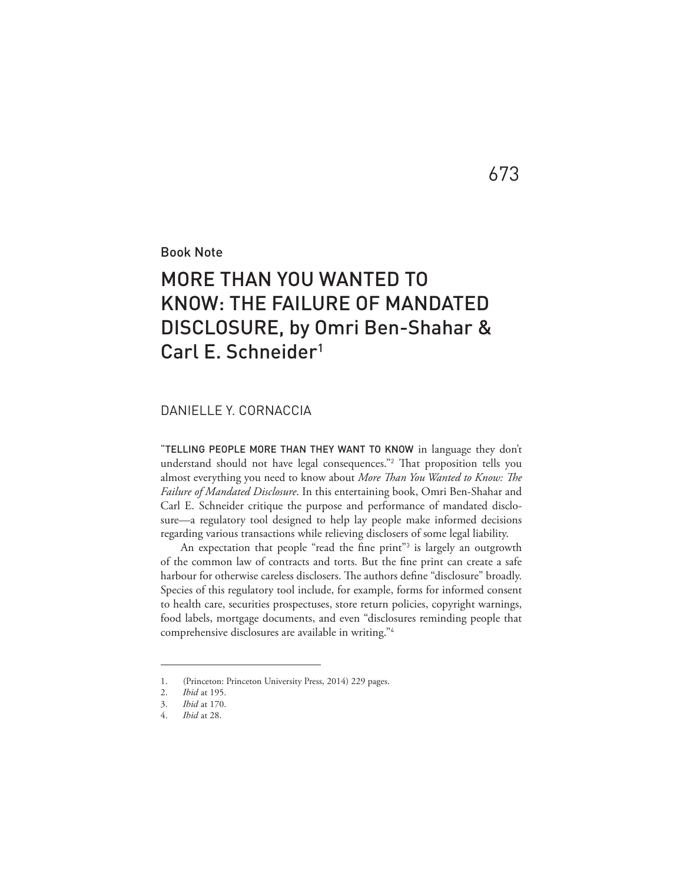Book Note

## MORE THAN YOU WANTED TO KNOW: THE FAILURE OF MANDATED DISCLOSURE, by Omri Ben-Shahar & Carl E. Schneider<sup>1</sup>

673

### DANIELLE Y. CORNACCIA

"TELLING PEOPLE MORE THAN THEY WANT TO KNOW in language they don't understand should not have legal consequences."<sup>2</sup> That proposition tells you almost everything you need to know about *More Than You Wanted to Know: The Failure of Mandated Disclosure*. In this entertaining book, Omri Ben-Shahar and Carl E. Schneider critique the purpose and performance of mandated disclosure—a regulatory tool designed to help lay people make informed decisions regarding various transactions while relieving disclosers of some legal liability.

An expectation that people "read the fine print"<sup>3</sup> is largely an outgrowth of the common law of contracts and torts. But the fine print can create a safe harbour for otherwise careless disclosers. The authors define "disclosure" broadly. Species of this regulatory tool include, for example, forms for informed consent to health care, securities prospectuses, store return policies, copyright warnings, food labels, mortgage documents, and even "disclosures reminding people that comprehensive disclosures are available in writing."<sup>4</sup>

<sup>1. (</sup>Princeton: Princeton University Press, 2014) 229 pages.

<sup>2.</sup> *Ibid* at 195.

<sup>3.</sup> *Ibid* at 170.

<sup>4.</sup> *Ibid* at 28.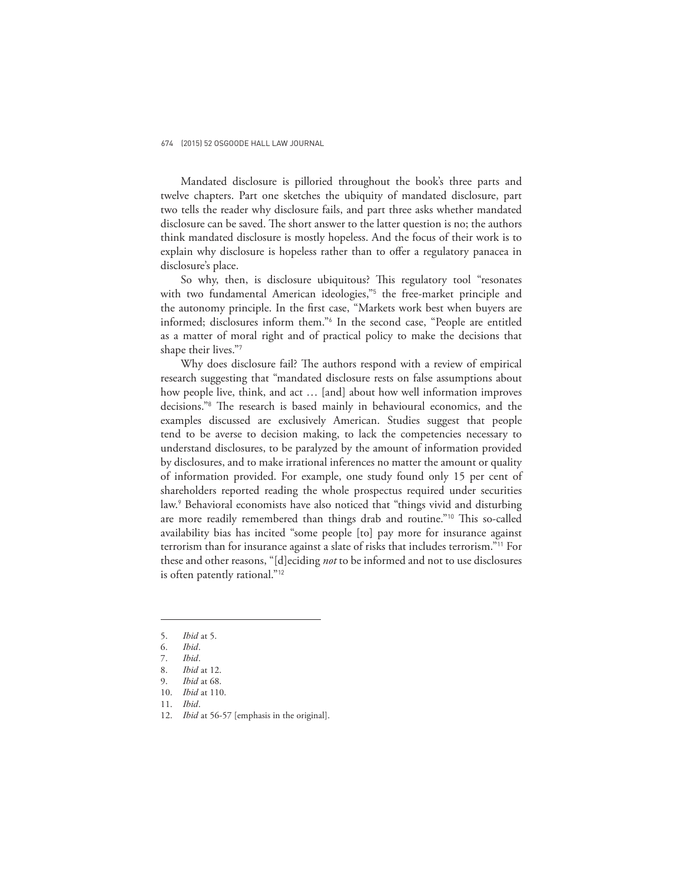#### 674 (2015) 52 OSGOODE HALL LAW JOURNAL

Mandated disclosure is pilloried throughout the book's three parts and twelve chapters. Part one sketches the ubiquity of mandated disclosure, part two tells the reader why disclosure fails, and part three asks whether mandated disclosure can be saved. The short answer to the latter question is no; the authors think mandated disclosure is mostly hopeless. And the focus of their work is to explain why disclosure is hopeless rather than to offer a regulatory panacea in disclosure's place.

So why, then, is disclosure ubiquitous? This regulatory tool "resonates with two fundamental American ideologies,"<sup>5</sup> the free-market principle and the autonomy principle. In the first case, "Markets work best when buyers are informed; disclosures inform them."<sup>6</sup> In the second case, "People are entitled as a matter of moral right and of practical policy to make the decisions that shape their lives."<sup>7</sup>

Why does disclosure fail? The authors respond with a review of empirical research suggesting that "mandated disclosure rests on false assumptions about how people live, think, and act … [and] about how well information improves decisions."<sup>8</sup> The research is based mainly in behavioural economics, and the examples discussed are exclusively American. Studies suggest that people tend to be averse to decision making, to lack the competencies necessary to understand disclosures, to be paralyzed by the amount of information provided by disclosures, and to make irrational inferences no matter the amount or quality of information provided. For example, one study found only 15 per cent of shareholders reported reading the whole prospectus required under securities law.<sup>9</sup> Behavioral economists have also noticed that "things vivid and disturbing are more readily remembered than things drab and routine."<sup>10</sup> This so-called availability bias has incited "some people [to] pay more for insurance against terrorism than for insurance against a slate of risks that includes terrorism."<sup>11</sup> For these and other reasons, "[d]eciding *not* to be informed and not to use disclosures is often patently rational."<sup>12</sup>

<sup>5.</sup> *Ibid* at 5.

<sup>6.</sup> *Ibid*.

<sup>7.</sup> *Ibid*.

<sup>8.</sup> *Ibid* at 12. 9. *Ibid* at 68.

<sup>10.</sup> *Ibid* at 110.

<sup>11.</sup> *Ibid*.

<sup>12.</sup> *Ibid* at 56-57 [emphasis in the original].